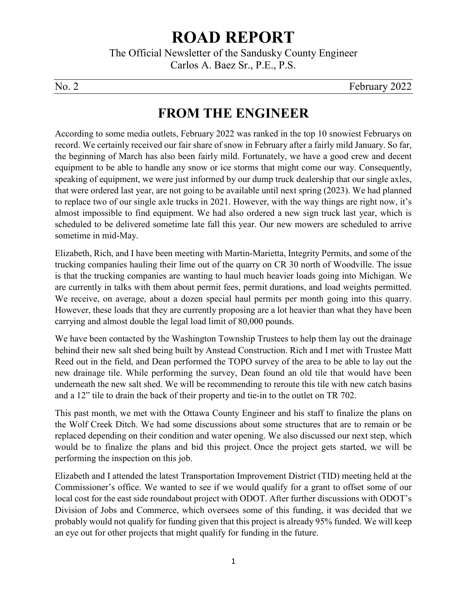# **ROAD REPORT**

The Official Newsletter of the Sandusky County Engineer Carlos A. Baez Sr., P.E., P.S.

No. 2 February 2022

## **FROM THE ENGINEER**

According to some media outlets, February 2022 was ranked in the top 10 snowiest Februarys on record. We certainly received our fair share of snow in February after a fairly mild January. So far, the beginning of March has also been fairly mild. Fortunately, we have a good crew and decent equipment to be able to handle any snow or ice storms that might come our way. Consequently, speaking of equipment, we were just informed by our dump truck dealership that our single axles, that were ordered last year, are not going to be available until next spring (2023). We had planned to replace two of our single axle trucks in 2021. However, with the way things are right now, it's almost impossible to find equipment. We had also ordered a new sign truck last year, which is scheduled to be delivered sometime late fall this year. Our new mowers are scheduled to arrive sometime in mid-May.

Elizabeth, Rich, and I have been meeting with Martin-Marietta, Integrity Permits, and some of the trucking companies hauling their lime out of the quarry on CR 30 north of Woodville. The issue is that the trucking companies are wanting to haul much heavier loads going into Michigan. We are currently in talks with them about permit fees, permit durations, and load weights permitted. We receive, on average, about a dozen special haul permits per month going into this quarry. However, these loads that they are currently proposing are a lot heavier than what they have been carrying and almost double the legal load limit of 80,000 pounds.

We have been contacted by the Washington Township Trustees to help them lay out the drainage behind their new salt shed being built by Anstead Construction. Rich and I met with Trustee Matt Reed out in the field, and Dean performed the TOPO survey of the area to be able to lay out the new drainage tile. While performing the survey, Dean found an old tile that would have been underneath the new salt shed. We will be recommending to reroute this tile with new catch basins and a 12" tile to drain the back of their property and tie-in to the outlet on TR 702.

This past month, we met with the Ottawa County Engineer and his staff to finalize the plans on the Wolf Creek Ditch. We had some discussions about some structures that are to remain or be replaced depending on their condition and water opening. We also discussed our next step, which would be to finalize the plans and bid this project. Once the project gets started, we will be performing the inspection on this job.

Elizabeth and I attended the latest Transportation Improvement District (TID) meeting held at the Commissioner's office. We wanted to see if we would qualify for a grant to offset some of our local cost for the east side roundabout project with ODOT. After further discussions with ODOT's Division of Jobs and Commerce, which oversees some of this funding, it was decided that we probably would not qualify for funding given that this project is already 95% funded. We will keep an eye out for other projects that might qualify for funding in the future.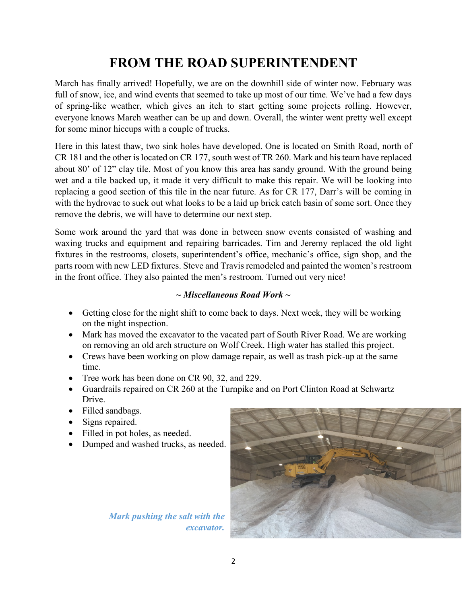## **FROM THE ROAD SUPERINTENDENT**

March has finally arrived! Hopefully, we are on the downhill side of winter now. February was full of snow, ice, and wind events that seemed to take up most of our time. We've had a few days of spring-like weather, which gives an itch to start getting some projects rolling. However, everyone knows March weather can be up and down. Overall, the winter went pretty well except for some minor hiccups with a couple of trucks.

Here in this latest thaw, two sink holes have developed. One is located on Smith Road, north of CR 181 and the other is located on CR 177, south west of TR 260. Mark and his team have replaced about 80' of 12" clay tile. Most of you know this area has sandy ground. With the ground being wet and a tile backed up, it made it very difficult to make this repair. We will be looking into replacing a good section of this tile in the near future. As for CR 177, Darr's will be coming in with the hydrovac to suck out what looks to be a laid up brick catch basin of some sort. Once they remove the debris, we will have to determine our next step.

Some work around the yard that was done in between snow events consisted of washing and waxing trucks and equipment and repairing barricades. Tim and Jeremy replaced the old light fixtures in the restrooms, closets, superintendent's office, mechanic's office, sign shop, and the parts room with new LED fixtures. Steve and Travis remodeled and painted the women's restroom in the front office. They also painted the men's restroom. Turned out very nice!

#### *~ Miscellaneous Road Work ~*

- Getting close for the night shift to come back to days. Next week, they will be working on the night inspection.
- Mark has moved the excavator to the vacated part of South River Road. We are working on removing an old arch structure on Wolf Creek. High water has stalled this project.
- Crews have been working on plow damage repair, as well as trash pick-up at the same time.
- Tree work has been done on CR 90, 32, and 229.
- Guardrails repaired on CR 260 at the Turnpike and on Port Clinton Road at Schwartz Drive.
- Filled sandbags.
- Signs repaired.
- Filled in pot holes, as needed.
- Dumped and washed trucks, as needed.

*Mark pushing the salt with the excavator.*

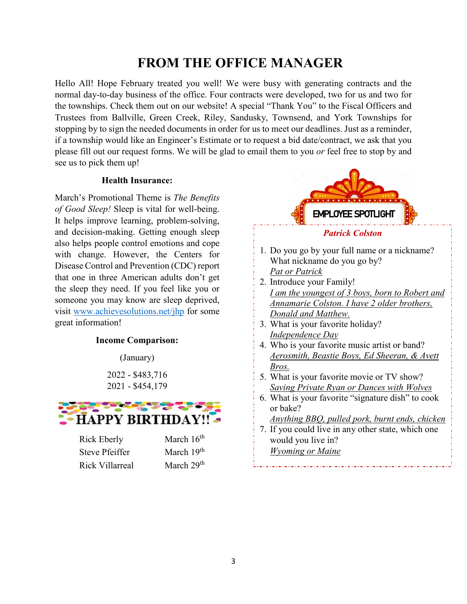#### **FROM THE OFFICE MANAGER**

Hello All! Hope February treated you well! We were busy with generating contracts and the normal day-to-day business of the office. Four contracts were developed, two for us and two for the townships. Check them out on our website! A special "Thank You" to the Fiscal Officers and Trustees from Ballville, Green Creek, Riley, Sandusky, Townsend, and York Townships for stopping by to sign the needed documents in order for us to meet our deadlines. Just as a reminder, if a township would like an Engineer's Estimate or to request a bid date/contract, we ask that you please fill out our request forms. We will be glad to email them to you *or* feel free to stop by and see us to pick them up!

#### **Health Insurance:**

March's Promotional Theme is *The Benefits of Good Sleep!* Sleep is vital for well-being. It helps improve learning, problem-solving, and decision-making. Getting enough sleep also helps people control emotions and cope with change. However, the Centers for Disease Control and Prevention (CDC) report that one in three American adults don't get the sleep they need. If you feel like you or someone you may know are sleep deprived, visit [www.achievesolutions.net/jhp](https://protect-us.mimecast.com/s/Lsx3C9rNKPcYko4tEG4Xs?domain=achievesolutions.net) for some great information!

#### **Income Comparison:**

(January)

2022 - \$483,716 2021 - \$454,179



Rick Eberly March 16<sup>th</sup> Steve Pfeiffer March 19<sup>th</sup> Rick Villarreal March 29th



1. Do you go by your full name or a nickname? What nickname do you go by?

- *Pat or Patrick*
- 2. Introduce your Family! *I am the youngest of 3 boys, born to Robert and Annamarie Colston. I have 2 older brothers, Donald and Matthew.*
- 3. What is your favorite holiday? *Independence Day*
- 4. Who is your favorite music artist or band? *Aerosmith, Beastie Boys, Ed Sheeran, & Avett Bros.*
- 5. What is your favorite movie or TV show? *Saving Private Ryan or Dances with Wolves*
- 6. What is your favorite "signature dish" to cook or bake?

*Anything BBQ, pulled pork, burnt ends, chicken*

7. If you could live in any other state, which one would you live in?

*Wyoming or Maine*